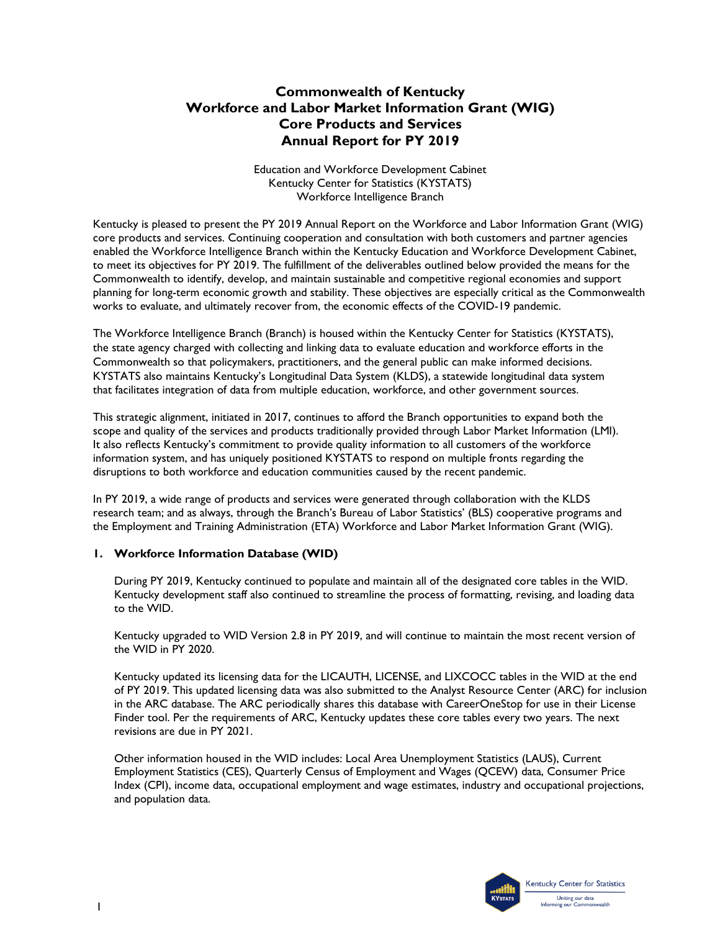# **Commonwealth of Kentucky Workforce and Labor Market Information Grant (WIG) Core Products and Services Annual Report for PY 2019**

Education and Workforce Development Cabinet Kentucky Center for Statistics (KYSTATS) Workforce Intelligence Branch

Kentucky is pleased to present the PY 2019 Annual Report on the Workforce and Labor Information Grant (WIG) core products and services. Continuing cooperation and consultation with both customers and partner agencies enabled the Workforce Intelligence Branch within the Kentucky Education and Workforce Development Cabinet, to meet its objectives for PY 2019. The fulfillment of the deliverables outlined below provided the means for the Commonwealth to identify, develop, and maintain sustainable and competitive regional economies and support planning for long-term economic growth and stability. These objectives are especially critical as the Commonwealth works to evaluate, and ultimately recover from, the economic effects of the COVID-19 pandemic.

The Workforce Intelligence Branch (Branch) is housed within the Kentucky Center for Statistics (KYSTATS), the state agency charged with collecting and linking data to evaluate education and workforce efforts in the Commonwealth so that policymakers, practitioners, and the general public can make informed decisions. KYSTATS also maintains Kentucky's Longitudinal Data System (KLDS), a statewide longitudinal data system that facilitates integration of data from multiple education, workforce, and other government sources.

This strategic alignment, initiated in 2017, continues to afford the Branch opportunities to expand both the scope and quality of the services and products traditionally provided through Labor Market Information (LMI). It also reflects Kentucky's commitment to provide quality information to all customers of the workforce information system, and has uniquely positioned KYSTATS to respond on multiple fronts regarding the disruptions to both workforce and education communities caused by the recent pandemic.

In PY 2019, a wide range of products and services were generated through collaboration with the KLDS research team; and as always, through the Branch's Bureau of Labor Statistics' (BLS) cooperative programs and the Employment and Training Administration (ETA) Workforce and Labor Market Information Grant (WIG).

## **1. Workforce Information Database (WID)**

During PY 2019, Kentucky continued to populate and maintain all of the designated core tables in the WID. Kentucky development staff also continued to streamline the process of formatting, revising, and loading data to the WID.

Kentucky upgraded to WID Version 2.8 in PY 2019, and will continue to maintain the most recent version of the WID in PY 2020.

Kentucky updated its licensing data for the LICAUTH, LICENSE, and LIXCOCC tables in the WID at the end of PY 2019. This updated licensing data was also submitted to the Analyst Resource Center (ARC) for inclusion in the ARC database. The ARC periodically shares this database with CareerOneStop for use in their License Finder tool. Per the requirements of ARC, Kentucky updates these core tables every two years. The next revisions are due in PY 2021.

Other information housed in the WID includes: Local Area Unemployment Statistics (LAUS), Current Employment Statistics (CES), Quarterly Census of Employment and Wages (QCEW) data, Consumer Price Index (CPI), income data, occupational employment and wage estimates, industry and occupational projections, and population data.

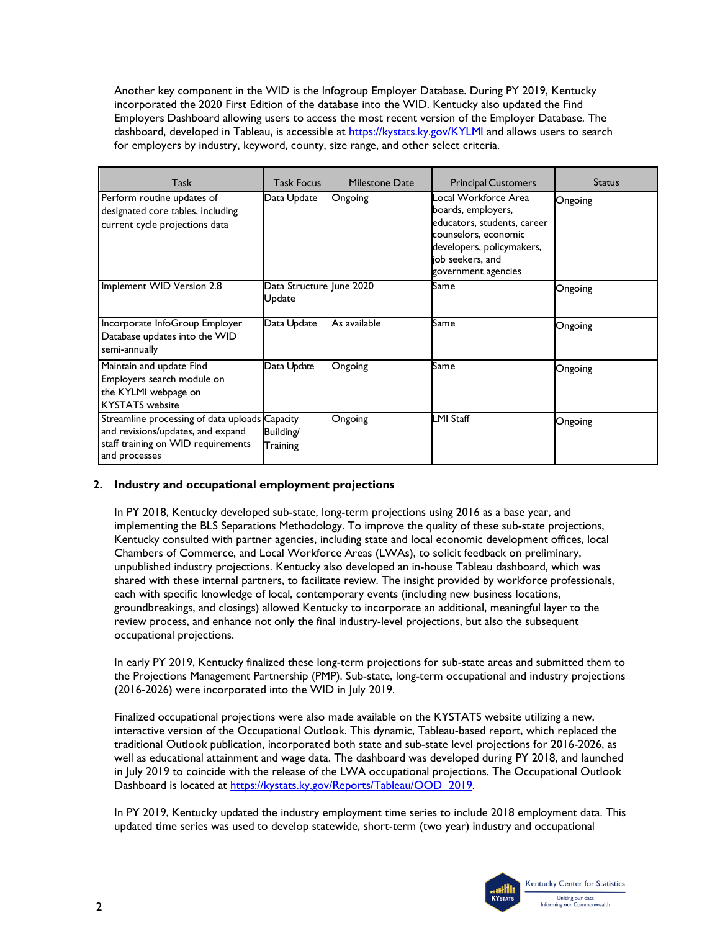Another key component in the WID is the Infogroup Employer Database. During PY 2019, Kentucky incorporated the 2020 First Edition of the database into the WID. Kentucky also updated the Find Employers Dashboard allowing users to access the most recent version of the Employer Database. The dashboard, developed in Tableau, is accessible at<https://kystats.ky.gov/KYLMI> and allows users to search for employers by industry, keyword, county, size range, and other select criteria.

| Task                                                                                                                                       | <b>Task Focus</b>                   | Milestone Date | <b>Principal Customers</b>                                                                                                                                                | <b>Status</b> |
|--------------------------------------------------------------------------------------------------------------------------------------------|-------------------------------------|----------------|---------------------------------------------------------------------------------------------------------------------------------------------------------------------------|---------------|
| Perform routine updates of<br>designated core tables, including<br>current cycle projections data                                          | Data Update                         | Ongoing        | Local Workforce Area<br>boards, employers,<br>educators, students, career<br>counselors, economic<br>developers, policymakers,<br>job seekers, and<br>government agencies | Ongoing       |
| Implement WID Version 2.8                                                                                                                  | Data Structure llune 2020<br>Update |                | Same                                                                                                                                                                      | Ongoing       |
| Incorporate InfoGroup Employer<br>Database updates into the WID<br>semi-annually                                                           | Data Update                         | As available   | Same                                                                                                                                                                      | Ongoing       |
| Maintain and update Find<br>Employers search module on<br>the KYLMI webpage on<br><b>KYSTATS</b> website                                   | Data Update                         | Ongoing        | Same                                                                                                                                                                      | Ongoing       |
| Streamline processing of data uploads Capacity<br>and revisions/updates, and expand<br>staff training on WID requirements<br>and processes | Building/<br>Training               | Ongoing        | <b>LMI Staff</b>                                                                                                                                                          | Ongoing       |

## **2. Industry and occupational employment projections**

In PY 2018, Kentucky developed sub-state, long-term projections using 2016 as a base year, and implementing the BLS Separations Methodology. To improve the quality of these sub-state projections, Kentucky consulted with partner agencies, including state and local economic development offices, local Chambers of Commerce, and Local Workforce Areas (LWAs), to solicit feedback on preliminary, unpublished industry projections. Kentucky also developed an in-house Tableau dashboard, which was shared with these internal partners, to facilitate review. The insight provided by workforce professionals, each with specific knowledge of local, contemporary events (including new business locations, groundbreakings, and closings) allowed Kentucky to incorporate an additional, meaningful layer to the review process, and enhance not only the final industry-level projections, but also the subsequent occupational projections.

In early PY 2019, Kentucky finalized these long-term projections for sub-state areas and submitted them to the Projections Management Partnership (PMP). Sub-state, long-term occupational and industry projections (2016-2026) were incorporated into the WID in July 2019.

Finalized occupational projections were also made available on the KYSTATS website utilizing a new, interactive version of the Occupational Outlook. This dynamic, Tableau-based report, which replaced the traditional Outlook publication, incorporated both state and sub-state level projections for 2016-2026, as well as educational attainment and wage data. The dashboard was developed during PY 2018, and launched in July 2019 to coincide with the release of the LWA occupational projections. The Occupational Outlook Dashboard is located at [https://kystats.ky.gov/Reports/Tableau/OOD\\_2019.](https://kystats.ky.gov/Reports/Tableau/OOD_2019)

In PY 2019, Kentucky updated the industry employment time series to include 2018 employment data. This updated time series was used to develop statewide, short-term (two year) industry and occupational

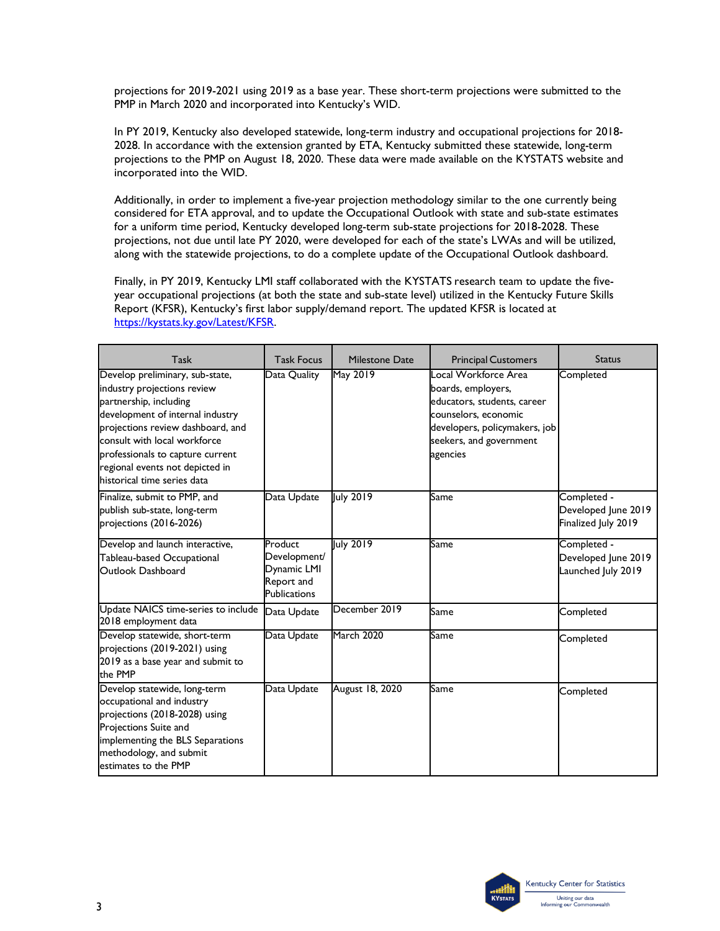projections for 2019-2021 using 2019 as a base year. These short-term projections were submitted to the PMP in March 2020 and incorporated into Kentucky's WID.

In PY 2019, Kentucky also developed statewide, long-term industry and occupational projections for 2018- 2028. In accordance with the extension granted by ETA, Kentucky submitted these statewide, long-term projections to the PMP on August 18, 2020. These data were made available on the KYSTATS website and incorporated into the WID.

Additionally, in order to implement a five-year projection methodology similar to the one currently being considered for ETA approval, and to update the Occupational Outlook with state and sub-state estimates for a uniform time period, Kentucky developed long-term sub-state projections for 2018-2028. These projections, not due until late PY 2020, were developed for each of the state's LWAs and will be utilized, along with the statewide projections, to do a complete update of the Occupational Outlook dashboard.

Finally, in PY 2019, Kentucky LMI staff collaborated with the KYSTATS research team to update the fiveyear occupational projections (at both the state and sub-state level) utilized in the Kentucky Future Skills Report (KFSR), Kentucky's first labor supply/demand report. The updated KFSR is located at [https://kystats.ky.gov/Latest/KFSR.](https://kystats.ky.gov/Latest/KFSR)

| Task                                                                                                                                                                                                                                                                                                    | <b>Task Focus</b>                                                    | Milestone Date    | <b>Principal Customers</b>                                                                                                                                                | <b>Status</b>                                             |
|---------------------------------------------------------------------------------------------------------------------------------------------------------------------------------------------------------------------------------------------------------------------------------------------------------|----------------------------------------------------------------------|-------------------|---------------------------------------------------------------------------------------------------------------------------------------------------------------------------|-----------------------------------------------------------|
| Develop preliminary, sub-state,<br>industry projections review<br>partnership, including<br>development of internal industry<br>projections review dashboard, and<br>consult with local workforce<br>professionals to capture current<br>regional events not depicted in<br>historical time series data | Data Quality                                                         | May 2019          | Local Workforce Area<br>boards, employers,<br>educators, students, career<br>counselors, economic<br>developers, policymakers, job<br>seekers, and government<br>agencies | Completed                                                 |
| Finalize, submit to PMP, and<br>publish sub-state, long-term<br>projections (2016-2026)                                                                                                                                                                                                                 | Data Update                                                          | July 2019         | Same                                                                                                                                                                      | Completed -<br>Developed June 2019<br>Finalized July 2019 |
| Develop and launch interactive,<br>Tableau-based Occupational<br>Outlook Dashboard                                                                                                                                                                                                                      | Product<br>Development/<br>Dynamic LMI<br>Report and<br>Publications | July 2019         | Same                                                                                                                                                                      | Completed -<br>Developed June 2019<br>Launched July 2019  |
| Update NAICS time-series to include<br>2018 employment data                                                                                                                                                                                                                                             | Data Update                                                          | December 2019     | Same                                                                                                                                                                      | Completed                                                 |
| Develop statewide, short-term<br>projections (2019-2021) using<br>2019 as a base year and submit to<br>the PMP                                                                                                                                                                                          | Data Update                                                          | <b>March 2020</b> | Same                                                                                                                                                                      | Completed                                                 |
| Develop statewide, long-term<br>occupational and industry<br>projections (2018-2028) using<br>Projections Suite and<br>implementing the BLS Separations<br>methodology, and submit<br>estimates to the PMP                                                                                              | Data Update                                                          | August 18, 2020   | Same                                                                                                                                                                      | Completed                                                 |

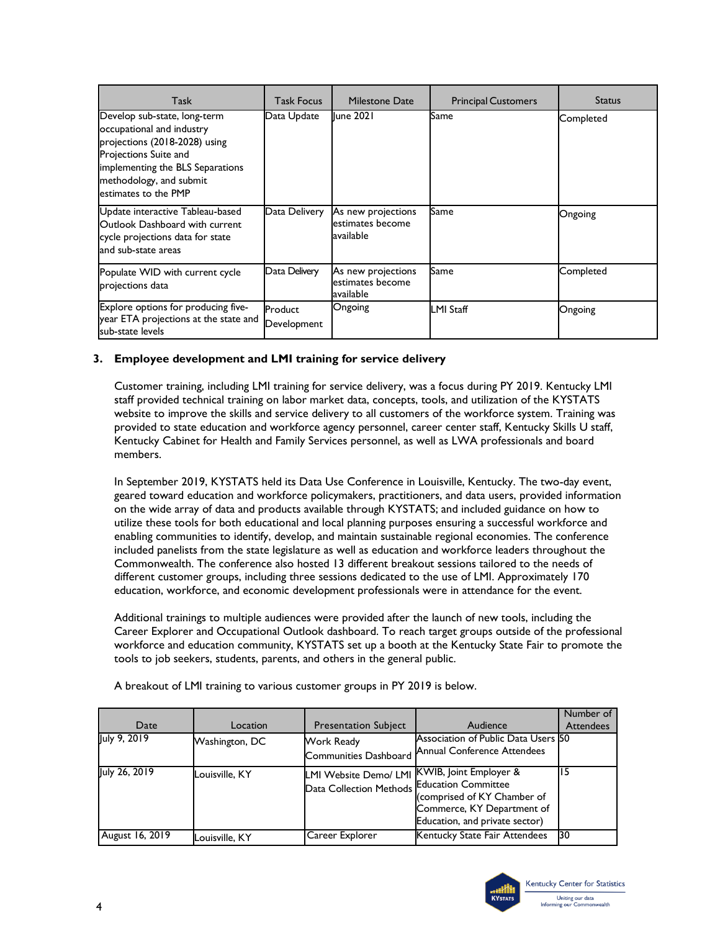| Task                                                                                                                                                                                                       | <b>Task Focus</b>      | Milestone Date                                      | <b>Principal Customers</b> | <b>Status</b> |
|------------------------------------------------------------------------------------------------------------------------------------------------------------------------------------------------------------|------------------------|-----------------------------------------------------|----------------------------|---------------|
| Develop sub-state, long-term<br>occupational and industry<br>projections (2018-2028) using<br>Projections Suite and<br>implementing the BLS Separations<br>methodology, and submit<br>estimates to the PMP | Data Update            | <b>Iune 2021</b>                                    | Same                       | Completed     |
| Update interactive Tableau-based<br>Outlook Dashboard with current<br>cycle projections data for state<br>and sub-state areas                                                                              | Data Delivery          | As new projections<br>estimates become<br>available | Same                       | Ongoing       |
| Populate WID with current cycle<br>projections data                                                                                                                                                        | Data Delivery          | As new projections<br>estimates become<br>available | Same                       | Completed     |
| Explore options for producing five-<br>year ETA projections at the state and<br>sub-state levels                                                                                                           | Product<br>Development | Ongoing                                             | <b>LMI Staff</b>           | Ongoing       |

## **3. Employee development and LMI training for service delivery**

Customer training, including LMI training for service delivery, was a focus during PY 2019. Kentucky LMI staff provided technical training on labor market data, concepts, tools, and utilization of the KYSTATS website to improve the skills and service delivery to all customers of the workforce system. Training was provided to state education and workforce agency personnel, career center staff, Kentucky Skills U staff, Kentucky Cabinet for Health and Family Services personnel, as well as LWA professionals and board members.

In September 2019, KYSTATS held its Data Use Conference in Louisville, Kentucky. The two-day event, geared toward education and workforce policymakers, practitioners, and data users, provided information on the wide array of data and products available through KYSTATS; and included guidance on how to utilize these tools for both educational and local planning purposes ensuring a successful workforce and enabling communities to identify, develop, and maintain sustainable regional economies. The conference included panelists from the state legislature as well as education and workforce leaders throughout the Commonwealth. The conference also hosted 13 different breakout sessions tailored to the needs of different customer groups, including three sessions dedicated to the use of LMI. Approximately 170 education, workforce, and economic development professionals were in attendance for the event.

Additional trainings to multiple audiences were provided after the launch of new tools, including the Career Explorer and Occupational Outlook dashboard. To reach target groups outside of the professional workforce and education community, KYSTATS set up a booth at the Kentucky State Fair to promote the tools to job seekers, students, parents, and others in the general public.

| Date            | Location       | <b>Presentation Subject</b>                             | Audience                                                                                                                                                       | Number of<br><b>Attendees</b> |
|-----------------|----------------|---------------------------------------------------------|----------------------------------------------------------------------------------------------------------------------------------------------------------------|-------------------------------|
| July 9, 2019    | Washington, DC | Work Ready<br>Communities Dashboard                     | Association of Public Data Users 50<br>Annual Conference Attendees                                                                                             |                               |
| July 26, 2019   | Louisville, KY | <b>LMI Website Demo/ LMI</b><br>Data Collection Methods | <b>KWIB, Joint Employer &amp;</b><br><b>Education Committee</b><br>(comprised of KY Chamber of<br>Commerce, KY Department of<br>Education, and private sector) |                               |
| August 16, 2019 | Louisville, KY | Career Explorer                                         | Kentucky State Fair Attendees                                                                                                                                  | 30                            |

A breakout of LMI training to various customer groups in PY 2019 is below.

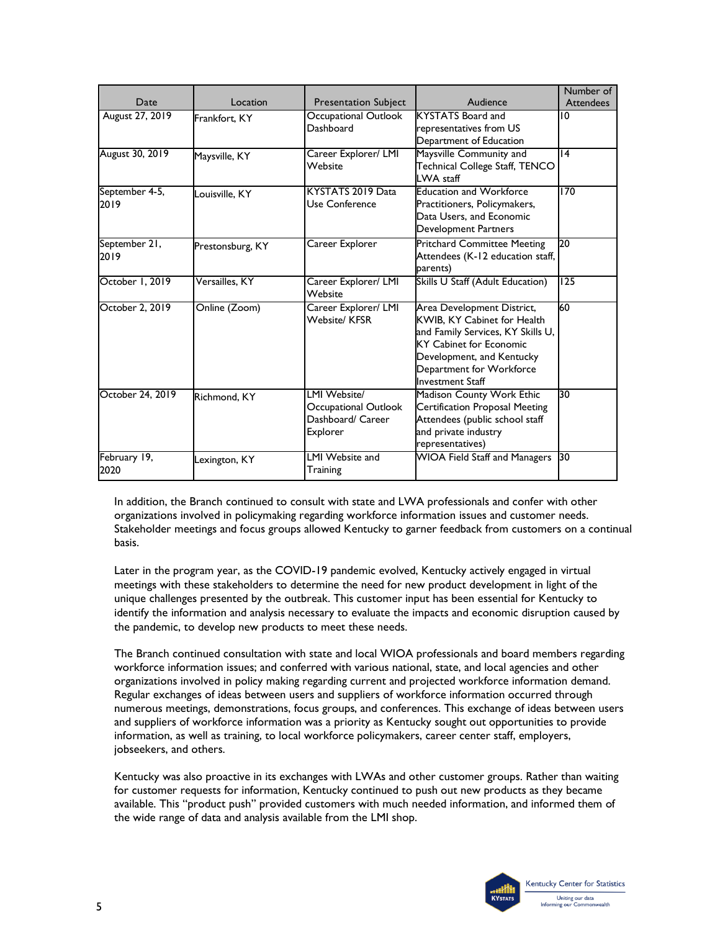|                        |                  |                                                                      |                                                                                                                                                                                                                      | Number of        |
|------------------------|------------------|----------------------------------------------------------------------|----------------------------------------------------------------------------------------------------------------------------------------------------------------------------------------------------------------------|------------------|
| Date                   | Location         | <b>Presentation Subject</b>                                          | Audience                                                                                                                                                                                                             | <b>Attendees</b> |
| August 27, 2019        | Frankfort, KY    | Occupational Outlook<br>Dashboard                                    | <b>KYSTATS Board and</b><br>representatives from US<br>Department of Education                                                                                                                                       | 10               |
| August 30, 2019        | Maysville, KY    | Career Explorer/ LMI<br>Website                                      | Maysville Community and<br>Technical College Staff, TENCO<br>LWA staff                                                                                                                                               | 14               |
| September 4-5,<br>2019 | Louisville, KY   | KYSTATS 2019 Data<br>Use Conference                                  | <b>Education and Workforce</b><br>Practitioners, Policymakers,<br>Data Users, and Economic<br>Development Partners                                                                                                   | 170              |
| September 21,<br>2019  | Prestonsburg, KY | Career Explorer                                                      | <b>Pritchard Committee Meeting</b><br>Attendees (K-12 education staff,<br>parents)                                                                                                                                   | 20               |
| October 1, 2019        | Versailles. KY   | Career Explorer/ LMI<br>Website                                      | Skills U Staff (Adult Education)                                                                                                                                                                                     | 125              |
| October 2, 2019        | Online (Zoom)    | Career Explorer/ LMI<br><b>Website/KFSR</b>                          | Area Development District,<br>KWIB, KY Cabinet for Health<br>and Family Services, KY Skills U,<br><b>KY Cabinet for Economic</b><br>Development, and Kentucky<br>Department for Workforce<br><b>Investment Staff</b> | 60               |
| October 24, 2019       | Richmond, KY     | LMI Website<br>Occupational Outlook<br>Dashboard/ Career<br>Explorer | Madison County Work Ethic<br>Certification Proposal Meeting<br>Attendees (public school staff<br>and private industry<br>representatives)                                                                            | 30               |
| February 19,<br>2020   | exington, KY     | LMI Website and<br>Training                                          | WIOA Field Staff and Managers 30                                                                                                                                                                                     |                  |

In addition, the Branch continued to consult with state and LWA professionals and confer with other organizations involved in policymaking regarding workforce information issues and customer needs. Stakeholder meetings and focus groups allowed Kentucky to garner feedback from customers on a continual basis.

Later in the program year, as the COVID-19 pandemic evolved, Kentucky actively engaged in virtual meetings with these stakeholders to determine the need for new product development in light of the unique challenges presented by the outbreak. This customer input has been essential for Kentucky to identify the information and analysis necessary to evaluate the impacts and economic disruption caused by the pandemic, to develop new products to meet these needs.

The Branch continued consultation with state and local WIOA professionals and board members regarding workforce information issues; and conferred with various national, state, and local agencies and other organizations involved in policy making regarding current and projected workforce information demand. Regular exchanges of ideas between users and suppliers of workforce information occurred through numerous meetings, demonstrations, focus groups, and conferences. This exchange of ideas between users and suppliers of workforce information was a priority as Kentucky sought out opportunities to provide information, as well as training, to local workforce policymakers, career center staff, employers, jobseekers, and others.

Kentucky was also proactive in its exchanges with LWAs and other customer groups. Rather than waiting for customer requests for information, Kentucky continued to push out new products as they became available. This "product push" provided customers with much needed information, and informed them of the wide range of data and analysis available from the LMI shop.

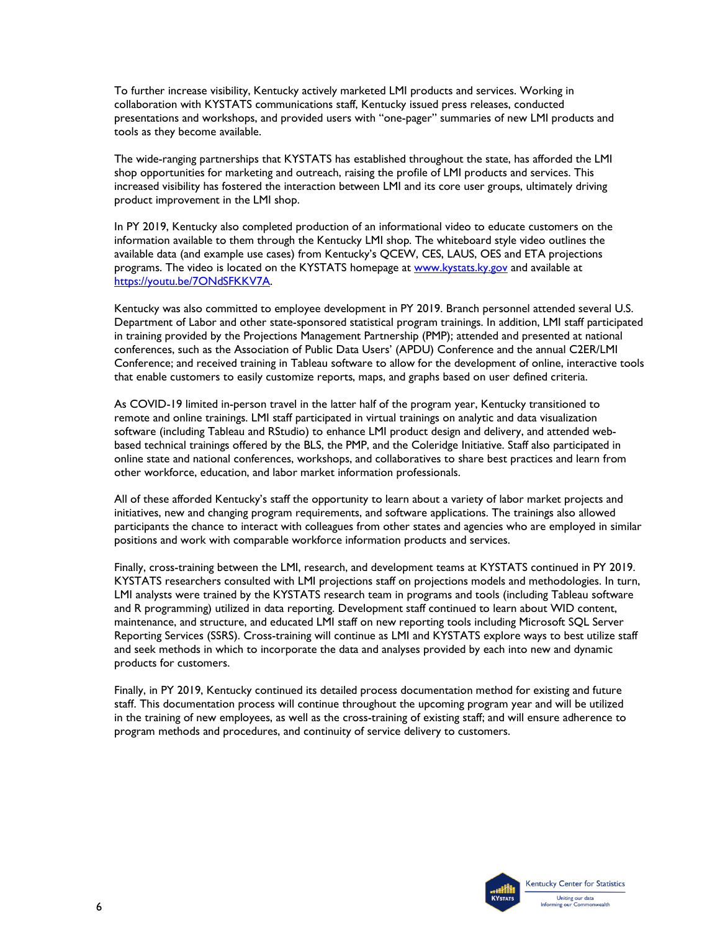To further increase visibility, Kentucky actively marketed LMI products and services. Working in collaboration with KYSTATS communications staff, Kentucky issued press releases, conducted presentations and workshops, and provided users with "one-pager" summaries of new LMI products and tools as they become available.

The wide-ranging partnerships that KYSTATS has established throughout the state, has afforded the LMI shop opportunities for marketing and outreach, raising the profile of LMI products and services. This increased visibility has fostered the interaction between LMI and its core user groups, ultimately driving product improvement in the LMI shop.

In PY 2019, Kentucky also completed production of an informational video to educate customers on the information available to them through the Kentucky LMI shop. The whiteboard style video outlines the available data (and example use cases) from Kentucky's QCEW, CES, LAUS, OES and ETA projections programs. The video is located on the KYSTATS homepage at [www.kystats.ky.gov](http://www.kystats.ky.gov/) and available at [https://youtu.be/7ONdSFKKV7A.](https://youtu.be/7ONdSFKKV7A)

Kentucky was also committed to employee development in PY 2019. Branch personnel attended several U.S. Department of Labor and other state-sponsored statistical program trainings. In addition, LMI staff participated in training provided by the Projections Management Partnership (PMP); attended and presented at national conferences, such as the Association of Public Data Users' (APDU) Conference and the annual C2ER/LMI Conference; and received training in Tableau software to allow for the development of online, interactive tools that enable customers to easily customize reports, maps, and graphs based on user defined criteria.

As COVID-19 limited in-person travel in the latter half of the program year, Kentucky transitioned to remote and online trainings. LMI staff participated in virtual trainings on analytic and data visualization software (including Tableau and RStudio) to enhance LMI product design and delivery, and attended webbased technical trainings offered by the BLS, the PMP, and the Coleridge Initiative. Staff also participated in online state and national conferences, workshops, and collaboratives to share best practices and learn from other workforce, education, and labor market information professionals.

All of these afforded Kentucky's staff the opportunity to learn about a variety of labor market projects and initiatives, new and changing program requirements, and software applications. The trainings also allowed participants the chance to interact with colleagues from other states and agencies who are employed in similar positions and work with comparable workforce information products and services.

Finally, cross-training between the LMI, research, and development teams at KYSTATS continued in PY 2019. KYSTATS researchers consulted with LMI projections staff on projections models and methodologies. In turn, LMI analysts were trained by the KYSTATS research team in programs and tools (including Tableau software and R programming) utilized in data reporting. Development staff continued to learn about WID content, maintenance, and structure, and educated LMI staff on new reporting tools including Microsoft SQL Server Reporting Services (SSRS). Cross-training will continue as LMI and KYSTATS explore ways to best utilize staff and seek methods in which to incorporate the data and analyses provided by each into new and dynamic products for customers.

Finally, in PY 2019, Kentucky continued its detailed process documentation method for existing and future staff. This documentation process will continue throughout the upcoming program year and will be utilized in the training of new employees, as well as the cross-training of existing staff; and will ensure adherence to program methods and procedures, and continuity of service delivery to customers.

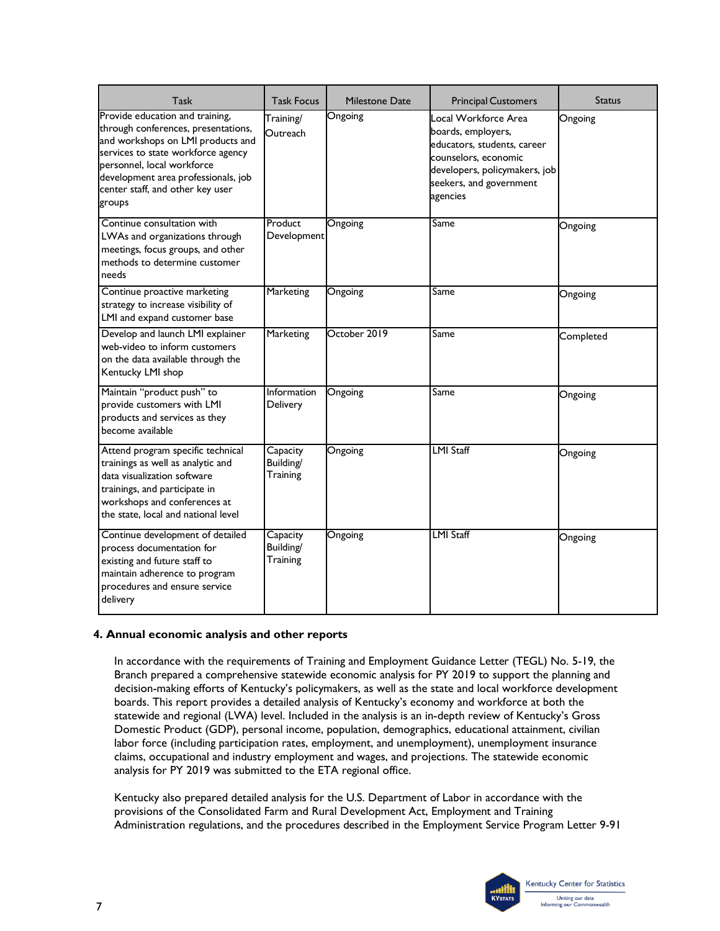| Task                                                                                                                                                                                                                                                                 | <b>Task Focus</b>                 | Milestone Date | <b>Principal Customers</b>                                                                                                                                                | <b>Status</b> |
|----------------------------------------------------------------------------------------------------------------------------------------------------------------------------------------------------------------------------------------------------------------------|-----------------------------------|----------------|---------------------------------------------------------------------------------------------------------------------------------------------------------------------------|---------------|
| Provide education and training,<br>through conferences, presentations,<br>and workshops on LMI products and<br>services to state workforce agency<br>personnel, local workforce<br>development area professionals, job<br>center staff, and other key user<br>groups | Training/<br>Outreach             | Ongoing        | Local Workforce Area<br>boards, employers,<br>educators, students, career<br>counselors, economic<br>developers, policymakers, job<br>seekers, and government<br>agencies | Ongoing       |
| Continue consultation with<br>LWAs and organizations through<br>meetings, focus groups, and other<br>methods to determine customer<br>needs                                                                                                                          | Product<br>Development            | Ongoing        | Same                                                                                                                                                                      | Ongoing       |
| Continue proactive marketing<br>strategy to increase visibility of<br>LMI and expand customer base                                                                                                                                                                   | <b>Marketing</b>                  | Ongoing        | Same                                                                                                                                                                      | Ongoing       |
| Develop and launch LMI explainer<br>web-video to inform customers<br>on the data available through the<br>Kentucky LMI shop                                                                                                                                          | <b>Marketing</b>                  | October 2019   | Same                                                                                                                                                                      | Completed     |
| Maintain "product push" to<br>provide customers with LMI<br>products and services as they<br>become available                                                                                                                                                        | Information<br>Delivery           | Ongoing        | Same                                                                                                                                                                      | Ongoing       |
| Attend program specific technical<br>trainings as well as analytic and<br>data visualization software<br>trainings, and participate in<br>workshops and conferences at<br>the state, local and national level                                                        | Capacity<br>Building/<br>Training | Ongoing        | <b>LMI Staff</b>                                                                                                                                                          | Ongoing       |
| Continue development of detailed<br>process documentation for<br>existing and future staff to<br>maintain adherence to program<br>procedures and ensure service<br>delivery                                                                                          | Capacity<br>Building/<br>Training | Ongoing        | <b>LMI Staff</b>                                                                                                                                                          | Ongoing       |

## **4. Annual economic analysis and other reports**

In accordance with the requirements of Training and Employment Guidance Letter (TEGL) No. 5-19, the Branch prepared a comprehensive statewide economic analysis for PY 2019 to support the planning and decision-making efforts of Kentucky's policymakers, as well as the state and local workforce development boards. This report provides a detailed analysis of Kentucky's economy and workforce at both the statewide and regional (LWA) level. Included in the analysis is an in-depth review of Kentucky's Gross Domestic Product (GDP), personal income, population, demographics, educational attainment, civilian labor force (including participation rates, employment, and unemployment), unemployment insurance claims, occupational and industry employment and wages, and projections. The statewide economic analysis for PY 2019 was submitted to the ETA regional office.

Kentucky also prepared detailed analysis for the U.S. Department of Labor in accordance with the provisions of the Consolidated Farm and Rural Development Act, Employment and Training Administration regulations, and the procedures described in the Employment Service Program Letter 9-91

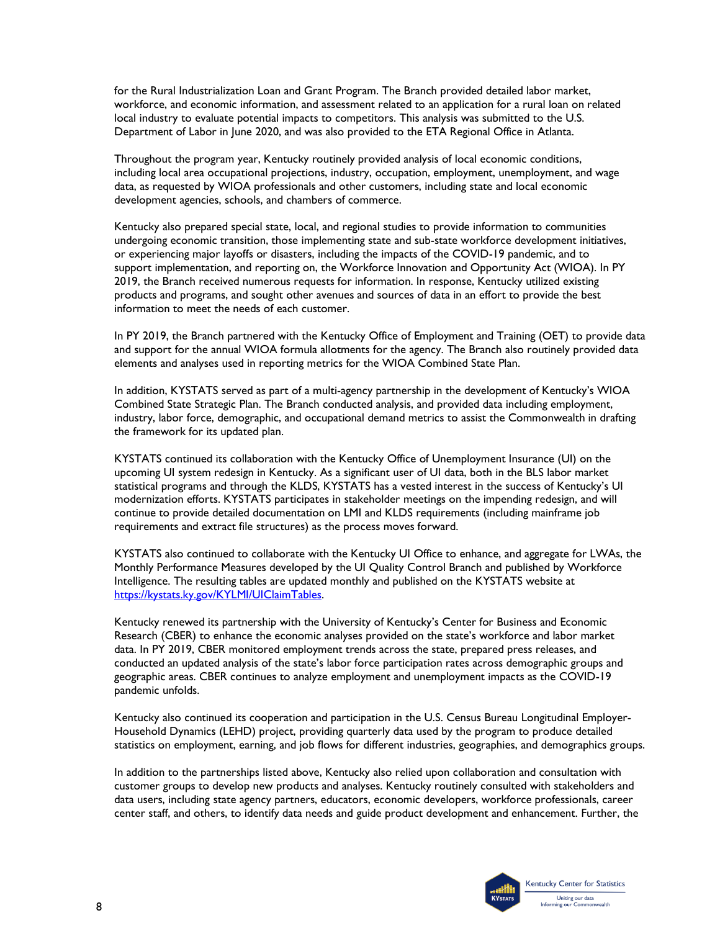for the Rural Industrialization Loan and Grant Program. The Branch provided detailed labor market, workforce, and economic information, and assessment related to an application for a rural loan on related local industry to evaluate potential impacts to competitors. This analysis was submitted to the U.S. Department of Labor in June 2020, and was also provided to the ETA Regional Office in Atlanta.

Throughout the program year, Kentucky routinely provided analysis of local economic conditions, including local area occupational projections, industry, occupation, employment, unemployment, and wage data, as requested by WIOA professionals and other customers, including state and local economic development agencies, schools, and chambers of commerce.

Kentucky also prepared special state, local, and regional studies to provide information to communities undergoing economic transition, those implementing state and sub-state workforce development initiatives, or experiencing major layoffs or disasters, including the impacts of the COVID-19 pandemic, and to support implementation, and reporting on, the Workforce Innovation and Opportunity Act (WIOA). In PY 2019, the Branch received numerous requests for information. In response, Kentucky utilized existing products and programs, and sought other avenues and sources of data in an effort to provide the best information to meet the needs of each customer.

In PY 2019, the Branch partnered with the Kentucky Office of Employment and Training (OET) to provide data and support for the annual WIOA formula allotments for the agency. The Branch also routinely provided data elements and analyses used in reporting metrics for the WIOA Combined State Plan.

In addition, KYSTATS served as part of a multi-agency partnership in the development of Kentucky's WIOA Combined State Strategic Plan. The Branch conducted analysis, and provided data including employment, industry, labor force, demographic, and occupational demand metrics to assist the Commonwealth in drafting the framework for its updated plan.

KYSTATS continued its collaboration with the Kentucky Office of Unemployment Insurance (UI) on the upcoming UI system redesign in Kentucky. As a significant user of UI data, both in the BLS labor market statistical programs and through the KLDS, KYSTATS has a vested interest in the success of Kentucky's UI modernization efforts. KYSTATS participates in stakeholder meetings on the impending redesign, and will continue to provide detailed documentation on LMI and KLDS requirements (including mainframe job requirements and extract file structures) as the process moves forward.

KYSTATS also continued to collaborate with the Kentucky UI Office to enhance, and aggregate for LWAs, the Monthly Performance Measures developed by the UI Quality Control Branch and published by Workforce Intelligence. The resulting tables are updated monthly and published on the KYSTATS website at [https://kystats.ky.gov/KYLMI/UIClaimTables.](https://kystats.ky.gov/KYLMI/UIClaimTables)

Kentucky renewed its partnership with the University of Kentucky's Center for Business and Economic Research (CBER) to enhance the economic analyses provided on the state's workforce and labor market data. In PY 2019, CBER monitored employment trends across the state, prepared press releases, and conducted an updated analysis of the state's labor force participation rates across demographic groups and geographic areas. CBER continues to analyze employment and unemployment impacts as the COVID-19 pandemic unfolds.

Kentucky also continued its cooperation and participation in the U.S. Census Bureau Longitudinal Employer-Household Dynamics (LEHD) project, providing quarterly data used by the program to produce detailed statistics on employment, earning, and job flows for different industries, geographies, and demographics groups.

In addition to the partnerships listed above, Kentucky also relied upon collaboration and consultation with customer groups to develop new products and analyses. Kentucky routinely consulted with stakeholders and data users, including state agency partners, educators, economic developers, workforce professionals, career center staff, and others, to identify data needs and guide product development and enhancement. Further, the

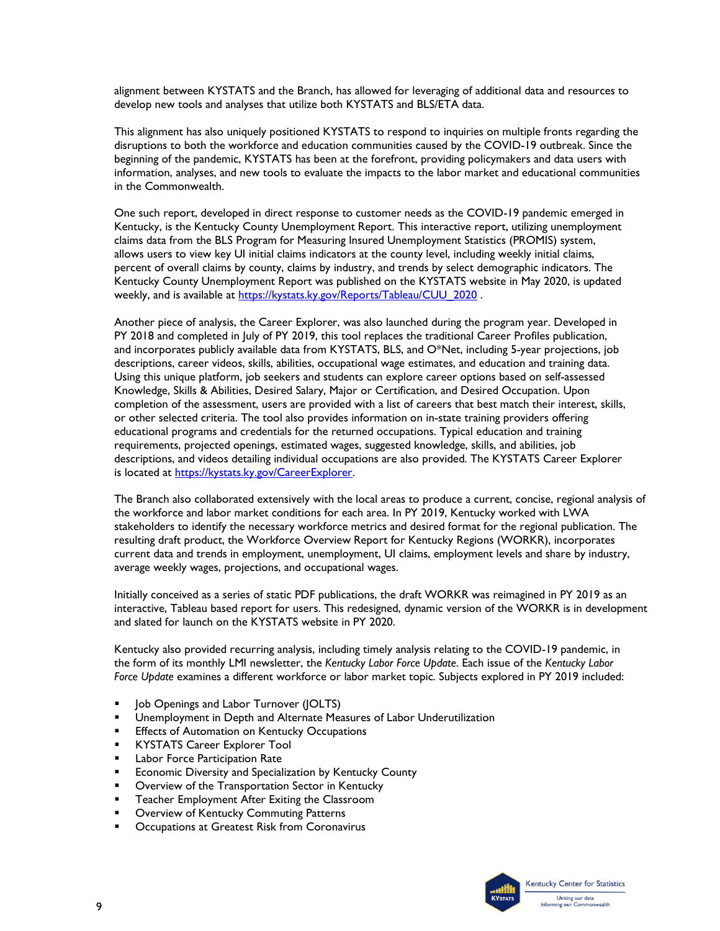alignment between KYSTATS and the Branch, has allowed for leveraging of additional data and resources to develop new tools and analyses that utilize both KYSTATS and BLS/ETA data.

This alignment has also uniquely positioned KYSTATS to respond to inquiries on multiple fronts regarding the disruptions to both the workforce and education communities caused by the COVID-19 outbreak. Since the beginning of the pandemic, KYSTATS has been at the forefront, providing policymakers and data users with information, analyses, and new tools to evaluate the impacts to the labor market and educational communities in the Commonwealth.

One such report, developed in direct response to customer needs as the COVID-19 pandemic emerged in Kentucky, is the Kentucky County Unemployment Report. This interactive report, utilizing unemployment claims data from the BLS Program for Measuring Insured Unemployment Statistics (PROMIS) system, allows users to view key UI initial claims indicators at the county level, including weekly initial claims, percent of overall claims by county, claims by industry, and trends by select demographic indicators. The Kentucky County Unemployment Report was published on the KYSTATS website in May 2020, is updated weekly, and is available at [https://kystats.ky.gov/Reports/Tableau/CUU\\_2020](https://kystats.ky.gov/Reports/Tableau/CUU_2020).

Another piece of analysis, the Career Explorer, was also launched during the program year. Developed in PY 2018 and completed in July of PY 2019, this tool replaces the traditional Career Profiles publication, and incorporates publicly available data from KYSTATS, BLS, and O\*Net, including 5-year projections, job descriptions, career videos, skills, abilities, occupational wage estimates, and education and training data. Using this unique platform, job seekers and students can explore career options based on self-assessed Knowledge, Skills & Abilities, Desired Salary, Major or Certification, and Desired Occupation. Upon completion of the assessment, users are provided with a list of careers that best match their interest, skills, or other selected criteria. The tool also provides information on in-state training providers offering educational programs and credentials for the returned occupations. Typical education and training requirements, projected openings, estimated wages, suggested knowledge, skills, and abilities, job descriptions, and videos detailing individual occupations are also provided. The KYSTATS Career Explorer is located at [https://kystats.ky.gov/CareerExplorer.](https://kystats.ky.gov/CareerExplorer)

The Branch also collaborated extensively with the local areas to produce a current, concise, regional analysis of the workforce and labor market conditions for each area. In PY 2019, Kentucky worked with LWA stakeholders to identify the necessary workforce metrics and desired format for the regional publication. The resulting draft product, the Workforce Overview Report for Kentucky Regions (WORKR), incorporates current data and trends in employment, unemployment, UI claims, employment levels and share by industry, average weekly wages, projections, and occupational wages.

Initially conceived as a series of static PDF publications, the draft WORKR was reimagined in PY 2019 as an interactive, Tableau based report for users. This redesigned, dynamic version of the WORKR is in development and slated for launch on the KYSTATS website in PY 2020.

Kentucky also provided recurring analysis, including timely analysis relating to the COVID-19 pandemic, in the form of its monthly LMI newsletter, the *Kentucky Labor Force Update*. Each issue of the *Kentucky Labor Force Update* examines a different workforce or labor market topic. Subjects explored in PY 2019 included:

- Job Openings and Labor Turnover (JOLTS)
- **■** Unemployment in Depth and Alternate Measures of Labor Underutilization
- **Effects of Automation on Kentucky Occupations**
- **KYSTATS Career Explorer Tool**
- **EXEC** Participation Rate
- **Examble 2** Economic Diversity and Specialization by Kentucky County
- Overview of the Transportation Sector in Kentucky
- Teacher Employment After Exiting the Classroom
- Overview of Kentucky Commuting Patterns
- Occupations at Greatest Risk from Coronavirus

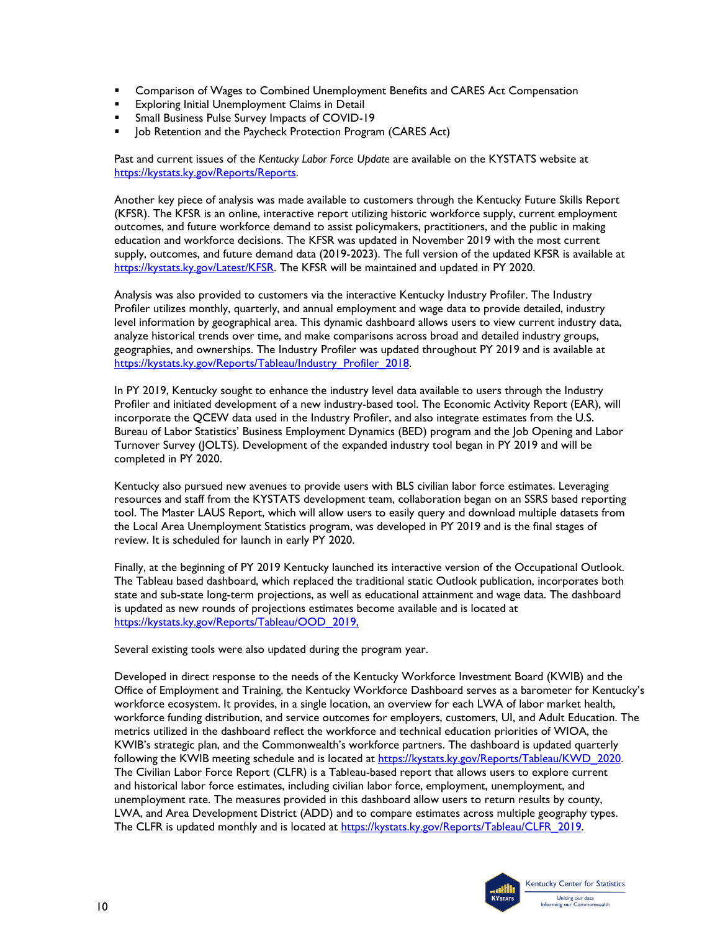- Comparison of Wages to Combined Unemployment Benefits and CARES Act Compensation
- Exploring Initial Unemployment Claims in Detail
- Small Business Pulse Survey Impacts of COVID-19
- **DEPENDEM** Job Retention and the Paycheck Protection Program (CARES Act)

Past and current issues of the *Kentucky Labor Force Update* are available on the KYSTATS website at [https://kystats.ky.gov/Reports/Reports.](https://kystats.ky.gov/Reports/Reports)

Another key piece of analysis was made available to customers through the Kentucky Future Skills Report (KFSR). The KFSR is an online, interactive report utilizing historic workforce supply, current employment outcomes, and future workforce demand to assist policymakers, practitioners, and the public in making education and workforce decisions. The KFSR was updated in November 2019 with the most current supply, outcomes, and future demand data (2019-2023). The full version of the updated KFSR is available at [https://kystats.ky.gov/Latest/KFSR.](https://kystats.ky.gov/Latest/KFSR) The KFSR will be maintained and updated in PY 2020.

Analysis was also provided to customers via the interactive Kentucky Industry Profiler. The Industry Profiler utilizes monthly, quarterly, and annual employment and wage data to provide detailed, industry level information by geographical area. This dynamic dashboard allows users to view current industry data, analyze historical trends over time, and make comparisons across broad and detailed industry groups, geographies, and ownerships. The Industry Profiler was updated throughout PY 2019 and is available at [https://kystats.ky.gov/Reports/Tableau/Industry\\_Profiler\\_2018.](https://kystats.ky.gov/Reports/Tableau/Industry_Profiler_2018)

In PY 2019, Kentucky sought to enhance the industry level data available to users through the Industry Profiler and initiated development of a new industry-based tool. The Economic Activity Report (EAR), will incorporate the QCEW data used in the Industry Profiler, and also integrate estimates from the U.S. Bureau of Labor Statistics' Business Employment Dynamics (BED) program and the Job Opening and Labor Turnover Survey (JOLTS). Development of the expanded industry tool began in PY 2019 and will be completed in PY 2020.

Kentucky also pursued new avenues to provide users with BLS civilian labor force estimates. Leveraging resources and staff from the KYSTATS development team, collaboration began on an SSRS based reporting tool. The Master LAUS Report, which will allow users to easily query and download multiple datasets from the Local Area Unemployment Statistics program, was developed in PY 2019 and is the final stages of review. It is scheduled for launch in early PY 2020.

Finally, at the beginning of PY 2019 Kentucky launched its interactive version of the Occupational Outlook. The Tableau based dashboard, which replaced the traditional static Outlook publication, incorporates both state and sub-state long-term projections, as well as educational attainment and wage data. The dashboard is updated as new rounds of projections estimates become available and is located at [https://kystats.ky.gov/Reports/Tableau/OOD\\_2019,](https://kystats.ky.gov/Reports/Tableau/OOD_2019)

Several existing tools were also updated during the program year.

Developed in direct response to the needs of the Kentucky Workforce Investment Board (KWIB) and the Office of Employment and Training, the Kentucky Workforce Dashboard serves as a barometer for Kentucky's workforce ecosystem. It provides, in a single location, an overview for each LWA of labor market health, workforce funding distribution, and service outcomes for employers, customers, UI, and Adult Education. The metrics utilized in the dashboard reflect the workforce and technical education priorities of WIOA, the KWIB's strategic plan, and the Commonwealth's workforce partners. The dashboard is updated quarterly following the KWIB meeting schedule and is located at [https://kystats.ky.gov/Reports/Tableau/KWD\\_2020.](https://kystats.ky.gov/Reports/Tableau/KWD_2020) The Civilian Labor Force Report (CLFR) is a Tableau-based report that allows users to explore current and historical labor force estimates, including civilian labor force, employment, unemployment, and unemployment rate. The measures provided in this dashboard allow users to return results by county, LWA, and Area Development District (ADD) and to compare estimates across multiple geography types. The CLFR is updated monthly and is located at https://kystats.ky.gov/Reports/Tableau/CLFR\_2019.

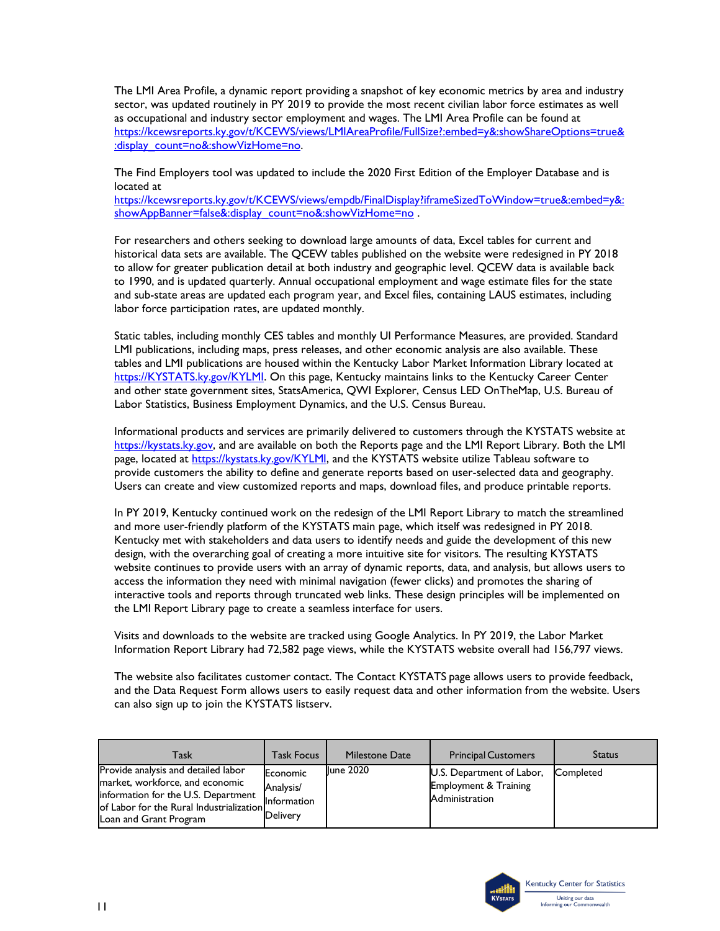The LMI Area Profile, a dynamic report providing a snapshot of key economic metrics by area and industry sector, was updated routinely in PY 2019 to provide the most recent civilian labor force estimates as well as occupational and industry sector employment and wages. The LMI Area Profile can be found at [https://kcewsreports.ky.gov/t/KCEWS/views/LMIAreaProfile/FullSize?:embed=y&:showShareOptions=true&](https://kcewsreports.ky.gov/t/KCEWS/views/LMIAreaProfile/FullSize?:embed=y&:showShareOptions=true&:display_count=no&:showVizHome=no) [:display\\_count=no&:showVizHome=no.](https://kcewsreports.ky.gov/t/KCEWS/views/LMIAreaProfile/FullSize?:embed=y&:showShareOptions=true&:display_count=no&:showVizHome=no)

The Find Employers tool was updated to include the 2020 First Edition of the Employer Database and is located at

[https://kcewsreports.ky.gov/t/KCEWS/views/empdb/FinalDisplay?iframeSizedToWindow=true&:embed=y&:](https://kcewsreports.ky.gov/t/KCEWS/views/empdb/FinalDisplay?iframeSizedToWindow=true&:embed=y&:showAppBanner=false&:display_count=no&:showVizHome=no) [showAppBanner=false&:display\\_count=no&:showVizHome=no](https://kcewsreports.ky.gov/t/KCEWS/views/empdb/FinalDisplay?iframeSizedToWindow=true&:embed=y&:showAppBanner=false&:display_count=no&:showVizHome=no) .

For researchers and others seeking to download large amounts of data, Excel tables for current and historical data sets are available. The QCEW tables published on the website were redesigned in PY 2018 to allow for greater publication detail at both industry and geographic level. QCEW data is available back to 1990, and is updated quarterly. Annual occupational employment and wage estimate files for the state and sub-state areas are updated each program year, and Excel files, containing LAUS estimates, including labor force participation rates, are updated monthly.

Static tables, including monthly CES tables and monthly UI Performance Measures, are provided. Standard LMI publications, including maps, press releases, and other economic analysis are also available. These tables and LMI publications are housed within the Kentucky Labor Market Information Library located at [https://KYSTATS.ky.gov/KYLMI.](https://kcews.ky.gov/KYLMI) On this page, Kentucky maintains links to the Kentucky Career Center and other state government sites, StatsAmerica, QWI Explorer, Census LED OnTheMap, U.S. Bureau of Labor Statistics, Business Employment Dynamics, and the U.S. Census Bureau.

Informational products and services are primarily delivered to customers through the KYSTATS website at [https://kystats.ky.gov,](https://kystats.ky.gov/) and are available on both the Reports page and the LMI Report Library. Both the LMI page, located at [https://kystats.ky.gov/KYLMI,](https://kystats.ky.gov/KYLMI) and the KYSTATS website utilize Tableau software to provide customers the ability to define and generate reports based on user-selected data and geography. Users can create and view customized reports and maps, download files, and produce printable reports.

In PY 2019, Kentucky continued work on the redesign of the LMI Report Library to match the streamlined and more user-friendly platform of the KYSTATS main page, which itself was redesigned in PY 2018. Kentucky met with stakeholders and data users to identify needs and guide the development of this new design, with the overarching goal of creating a more intuitive site for visitors. The resulting KYSTATS website continues to provide users with an array of dynamic reports, data, and analysis, but allows users to access the information they need with minimal navigation (fewer clicks) and promotes the sharing of interactive tools and reports through truncated web links. These design principles will be implemented on the LMI Report Library page to create a seamless interface for users.

Visits and downloads to the website are tracked using Google Analytics. In PY 2019, the Labor Market Information Report Library had 72,582 page views, while the KYSTATS website overall had 156,797 views.

The website also facilitates customer contact. The Contact KYSTATS page allows users to provide feedback, and the Data Request Form allows users to easily request data and other information from the website. Users can also sign up to join the KYSTATS listserv.

| Task                                                                                                                                                                                | <b>Task Focus</b>                                | Milestone Date   | <b>Principal Customers</b>                                                      | <b>Status</b> |
|-------------------------------------------------------------------------------------------------------------------------------------------------------------------------------------|--------------------------------------------------|------------------|---------------------------------------------------------------------------------|---------------|
| Provide analysis and detailed labor<br>market, workforce, and economic<br>information for the U.S. Department<br>of Labor for the Rural Industrialization<br>Loan and Grant Program | Economic<br>Analysis/<br>Information<br>Delivery | <b>Iune 2020</b> | U.S. Department of Labor,<br><b>Employment &amp; Training</b><br>Administration | Completed     |

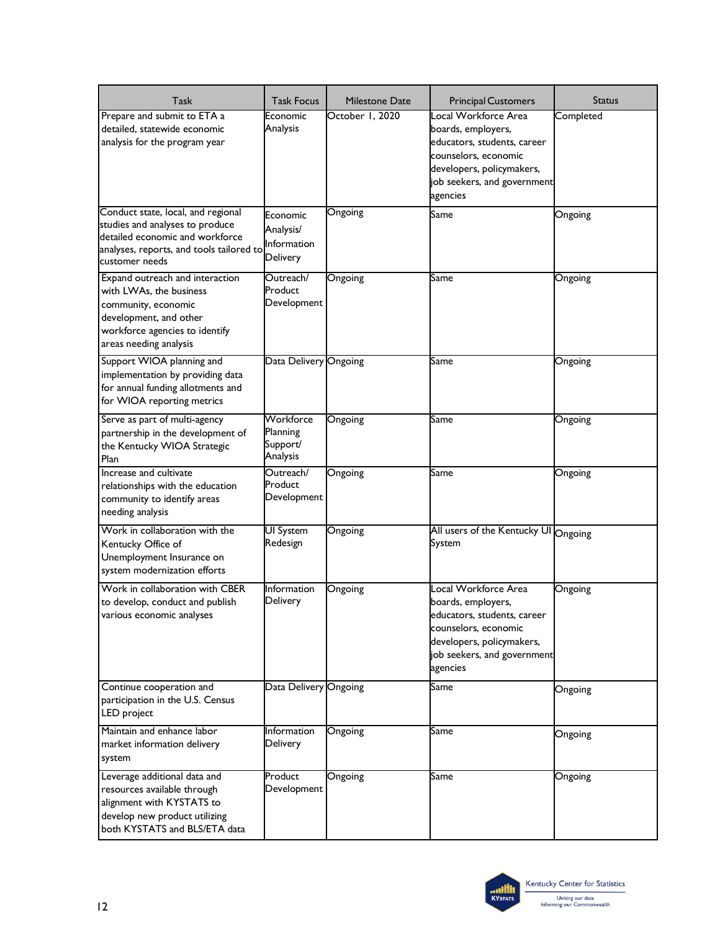| Task                                                                                                                                                                    | <b>Task Focus</b>                                | <b>Milestone Date</b> | <b>Principal Customers</b>                                                                                                                                                | Status    |
|-------------------------------------------------------------------------------------------------------------------------------------------------------------------------|--------------------------------------------------|-----------------------|---------------------------------------------------------------------------------------------------------------------------------------------------------------------------|-----------|
| Prepare and submit to ETA a<br>detailed, statewide economic<br>analysis for the program year                                                                            | Economic<br>Analysis                             | October 1, 2020       | Local Workforce Area<br>boards, employers,<br>educators, students, career<br>counselors, economic<br>developers, policymakers,<br>job seekers, and government<br>agencies | Completed |
| Conduct state, local, and regional<br>studies and analyses to produce<br>detailed economic and workforce<br>analyses, reports, and tools tailored to<br>customer needs  | Economic<br>Analysis/<br>Information<br>Delivery | Ongoing               | Same                                                                                                                                                                      | Ongoing   |
| Expand outreach and interaction<br>with LWAs, the business<br>community, economic<br>development, and other<br>workforce agencies to identify<br>areas needing analysis | Outreach/<br>Product<br>Development              | Ongoing               | Same                                                                                                                                                                      | Ongoing   |
| Support WIOA planning and<br>implementation by providing data<br>for annual funding allotments and<br>for WIOA reporting metrics                                        | Data Delivery Ongoing                            |                       | Same                                                                                                                                                                      | Ongoing   |
| Serve as part of multi-agency<br>partnership in the development of<br>the Kentucky WIOA Strategic<br>Plan                                                               | Workforce<br>Planning<br>Support/<br>Analysis    | Ongoing               | Same                                                                                                                                                                      | Ongoing   |
| Increase and cultivate<br>relationships with the education<br>community to identify areas<br>needing analysis                                                           | Outreach/<br>Product<br>Development              | Ongoing               | Same                                                                                                                                                                      | Ongoing   |
| Work in collaboration with the<br>Kentucky Office of<br>Unemployment Insurance on<br>system modernization efforts                                                       | <b>UI</b> System<br>Redesign                     | Ongoing               | All users of the Kentucky UI Ongoing<br>System                                                                                                                            |           |
| Work in collaboration with CBER<br>to develop, conduct and publish<br>various economic analyses                                                                         | Information<br>Delivery                          | Ongoing               | Local Workforce Area<br>boards, employers,<br>educators, students, career<br>counselors, economic<br>developers, policymakers,<br>job seekers, and government<br>agencies | Ongoing   |
| Continue cooperation and<br>participation in the U.S. Census<br>LED project                                                                                             | Data Delivery Ongoing                            |                       | Same                                                                                                                                                                      | Ongoing   |
| Maintain and enhance labor<br>market information delivery<br>system                                                                                                     | Information<br>Delivery                          | Ongoing               | Same                                                                                                                                                                      | Ongoing   |
| Leverage additional data and<br>resources available through<br>alignment with KYSTATS to<br>develop new product utilizing<br>both KYSTATS and BLS/ETA data              | Product<br>Development                           | Ongoing               | Same                                                                                                                                                                      | Ongoing   |

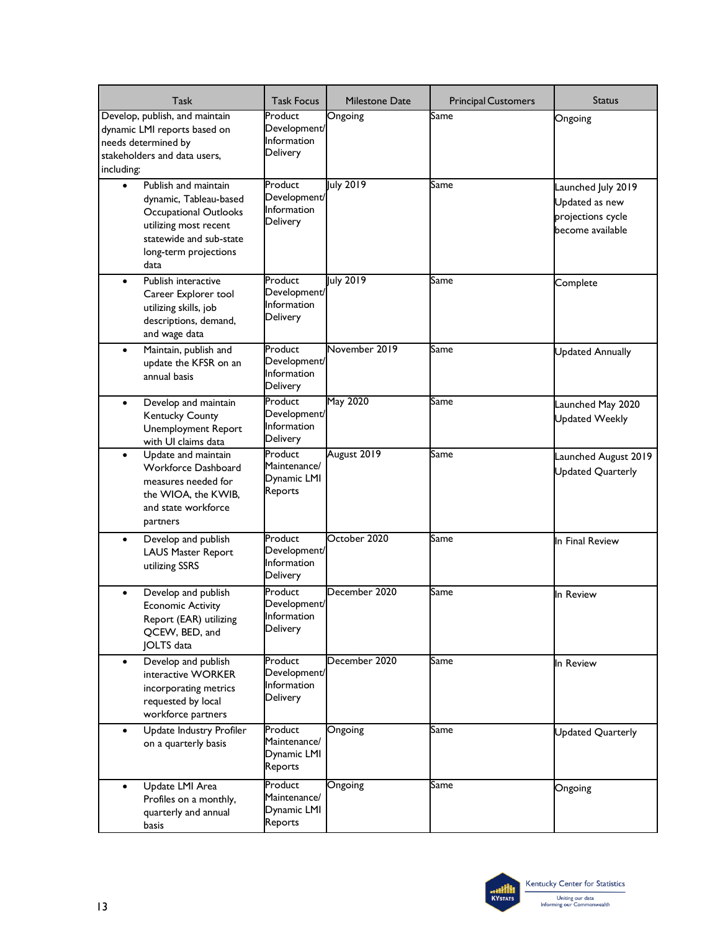| Task                                                                                                                                                                             | <b>Task Focus</b>                                         | Milestone Date | <b>Principal Customers</b> | Status                                                                        |
|----------------------------------------------------------------------------------------------------------------------------------------------------------------------------------|-----------------------------------------------------------|----------------|----------------------------|-------------------------------------------------------------------------------|
| Develop, publish, and maintain<br>dynamic LMI reports based on<br>needs determined by<br>stakeholders and data users,<br>including:                                              | Product<br>Development/<br>Information<br>Delivery        | Ongoing        | Same                       | Ongoing                                                                       |
| Publish and maintain<br>$\bullet$<br>dynamic, Tableau-based<br><b>Occupational Outlooks</b><br>utilizing most recent<br>statewide and sub-state<br>long-term projections<br>data | Product<br>Development/<br>Information<br>Delivery        | July 2019      | Same                       | Launched July 2019<br>Updated as new<br>projections cycle<br>become available |
| Publish interactive<br>$\bullet$<br>Career Explorer tool<br>utilizing skills, job<br>descriptions, demand,<br>and wage data                                                      | Product<br>Development/<br>Information<br>Delivery        | July 2019      | Same                       | Complete                                                                      |
| Maintain, publish and<br>$\bullet$<br>update the KFSR on an<br>annual basis                                                                                                      | Product<br>Development/<br>Information<br>Delivery        | November 2019  | Same                       | <b>Updated Annually</b>                                                       |
| Develop and maintain<br>$\bullet$<br>Kentucky County<br><b>Unemployment Report</b><br>with UI claims data                                                                        | Product<br>Development/<br>Information<br>Delivery        | May 2020       | Same                       | Launched May 2020<br><b>Updated Weekly</b>                                    |
| Update and maintain<br>$\bullet$<br>Workforce Dashboard<br>measures needed for<br>the WIOA, the KWIB,<br>and state workforce<br>partners                                         | Product<br>Maintenance/<br>Dynamic LMI<br>Reports         | August 2019    | Same                       | Launched August 2019<br>Updated Quarterly                                     |
| Develop and publish<br>$\bullet$<br>LAUS Master Report<br>utilizing SSRS                                                                                                         | Product<br>Development/<br><b>Information</b><br>Delivery | October 2020   | Same                       | In Final Review                                                               |
| Develop and publish<br><b>Economic Activity</b><br>Report (EAR) utilizing<br>QCEW, BED, and<br>JOLTS data                                                                        | Product<br>Development/<br>Information<br>Delivery        | December 2020  | Same                       | In Review                                                                     |
| Develop and publish<br>$\bullet$<br>interactive WORKER<br>incorporating metrics<br>requested by local<br>workforce partners                                                      | Product<br>Development/<br>Information<br>Delivery        | December 2020  | Same                       | In Review                                                                     |
| Update Industry Profiler<br>$\bullet$<br>on a quarterly basis                                                                                                                    | Product<br>Maintenance/<br>Dynamic LMI<br>Reports         | Ongoing        | Same                       | Updated Quarterly                                                             |
| Update LMI Area<br>$\bullet$<br>Profiles on a monthly,<br>quarterly and annual<br>basis                                                                                          | Product<br>Maintenance/<br>Dynamic LMI<br>Reports         | Ongoing        | Same                       | Ongoing                                                                       |

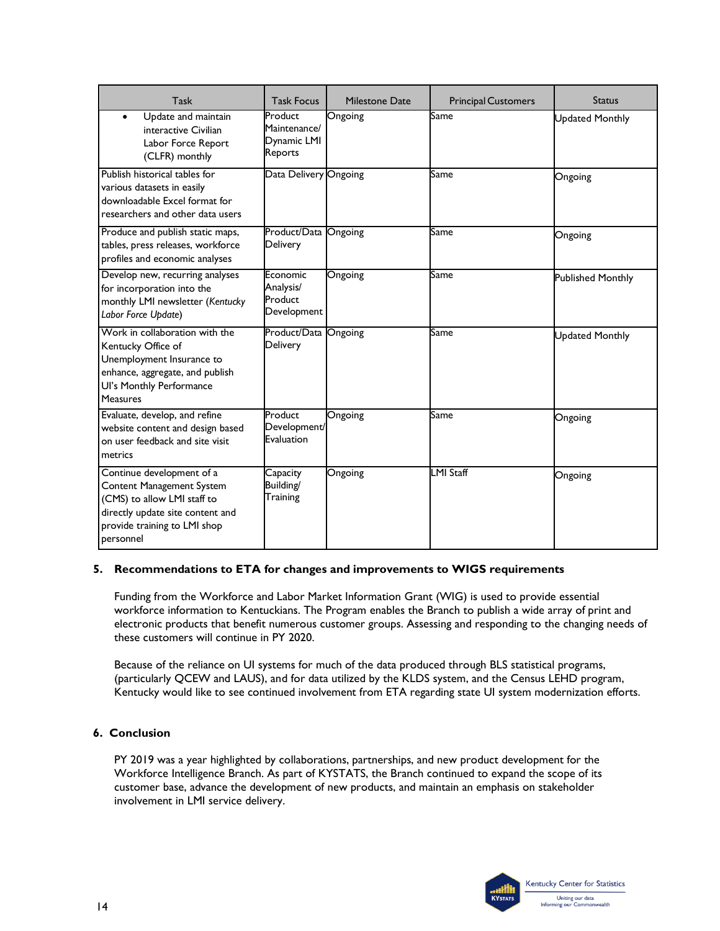| Task                                                                                                                                                                   | <b>Task Focus</b>                                 | Milestone Date | <b>Principal Customers</b> | Status                   |
|------------------------------------------------------------------------------------------------------------------------------------------------------------------------|---------------------------------------------------|----------------|----------------------------|--------------------------|
| Update and maintain<br>interactive Civilian<br>Labor Force Report<br>(CLFR) monthly                                                                                    | Product<br>Maintenance/<br>Dynamic LMI<br>Reports | Ongoing        | Same                       | <b>Updated Monthly</b>   |
| Publish historical tables for<br>various datasets in easily<br>downloadable Excel format for<br>researchers and other data users                                       | Data Delivery Ongoing                             |                | Same                       | Ongoing                  |
| Produce and publish static maps,<br>tables, press releases, workforce<br>profiles and economic analyses                                                                | Product/Data<br><b>Delivery</b>                   | Ongoing        | Same                       | Ongoing                  |
| Develop new, recurring analyses<br>for incorporation into the<br>monthly LMI newsletter (Kentucky<br>Labor Force Update)                                               | Economic<br>Analysis/<br>Product<br>Development   | Ongoing        | Same                       | <b>Published Monthly</b> |
| Work in collaboration with the<br>Kentucky Office of<br>Unemployment Insurance to<br>enhance, aggregate, and publish<br>Ul's Monthly Performance<br>Measures           | Product/Data<br><b>Delivery</b>                   | Ongoing        | Same                       | <b>Updated Monthly</b>   |
| Evaluate, develop, and refine<br>website content and design based<br>on user feedback and site visit<br>metrics                                                        | Product<br>Development/<br>Evaluation             | Ongoing        | Same                       | Ongoing                  |
| Continue development of a<br>Content Management System<br>(CMS) to allow LMI staff to<br>directly update site content and<br>provide training to LMI shop<br>personnel | Capacity<br>Building/<br>Training                 | Ongoing        | <b>LMI Staff</b>           | Ongoing                  |

### **5. Recommendations to ETA for changes and improvements to WIGS requirements**

Funding from the Workforce and Labor Market Information Grant (WIG) is used to provide essential workforce information to Kentuckians. The Program enables the Branch to publish a wide array of print and electronic products that benefit numerous customer groups. Assessing and responding to the changing needs of these customers will continue in PY 2020.

Because of the reliance on UI systems for much of the data produced through BLS statistical programs, (particularly QCEW and LAUS), and for data utilized by the KLDS system, and the Census LEHD program, Kentucky would like to see continued involvement from ETA regarding state UI system modernization efforts.

## **6. Conclusion**

PY 2019 was a year highlighted by collaborations, partnerships, and new product development for the Workforce Intelligence Branch. As part of KYSTATS, the Branch continued to expand the scope of its customer base, advance the development of new products, and maintain an emphasis on stakeholder involvement in LMI service delivery.